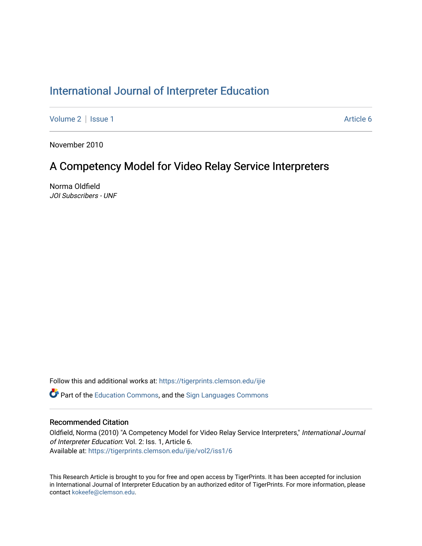# [International Journal of Interpreter Education](https://tigerprints.clemson.edu/ijie)

[Volume 2](https://tigerprints.clemson.edu/ijie/vol2) | [Issue 1](https://tigerprints.clemson.edu/ijie/vol2/iss1) Article 6

November 2010

# A Competency Model for Video Relay Service Interpreters

Norma Oldfield JOI Subscribers - UNF

Follow this and additional works at: [https://tigerprints.clemson.edu/ijie](https://tigerprints.clemson.edu/ijie?utm_source=tigerprints.clemson.edu%2Fijie%2Fvol2%2Fiss1%2F6&utm_medium=PDF&utm_campaign=PDFCoverPages) 

**P** Part of the [Education Commons](https://network.bepress.com/hgg/discipline/784?utm_source=tigerprints.clemson.edu%2Fijie%2Fvol2%2Fiss1%2F6&utm_medium=PDF&utm_campaign=PDFCoverPages), and the Sign Languages Commons

## Recommended Citation

Oldfield, Norma (2010) "A Competency Model for Video Relay Service Interpreters," International Journal of Interpreter Education: Vol. 2: Iss. 1, Article 6. Available at: [https://tigerprints.clemson.edu/ijie/vol2/iss1/6](https://tigerprints.clemson.edu/ijie/vol2/iss1/6?utm_source=tigerprints.clemson.edu%2Fijie%2Fvol2%2Fiss1%2F6&utm_medium=PDF&utm_campaign=PDFCoverPages)

This Research Article is brought to you for free and open access by TigerPrints. It has been accepted for inclusion in International Journal of Interpreter Education by an authorized editor of TigerPrints. For more information, please contact [kokeefe@clemson.edu.](mailto:kokeefe@clemson.edu)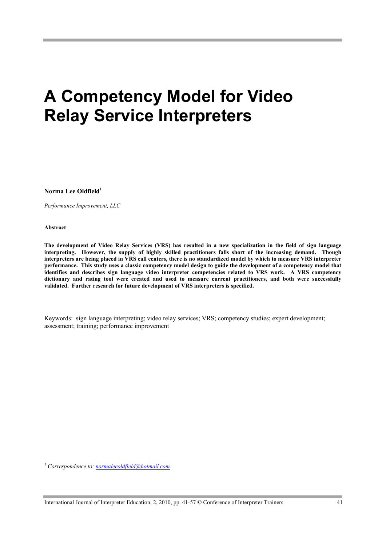# **A Competency Model for Video Relay Service Interpreters**

**Norma Lee Oldfield<sup>1</sup>**

*Performance Improvement, LLC*

**Abstract**

**The development of Video Relay Services (VRS) has resulted in a new specialization in the field of sign language interpreting. However, the supply of highly skilled practitioners falls short of the increasing demand. Though interpreters are being placed in VRS call centers, there is no standardized model by which to measure VRS interpreter performance. This study uses a classic competency model design to guide the development of a competency model that identifies and describes sign language video interpreter competencies related to VRS work. A VRS competency dictionary and rating tool were created and used to measure current practitioners, and both were successfully validated. Further research for future development of VRS interpreters is specified.** 

Keywords: sign language interpreting; video relay services; VRS; competency studies; expert development; assessment; training; performance improvement

*<sup>1</sup> Correspondence to: normaleeoldfield@hotmail.com*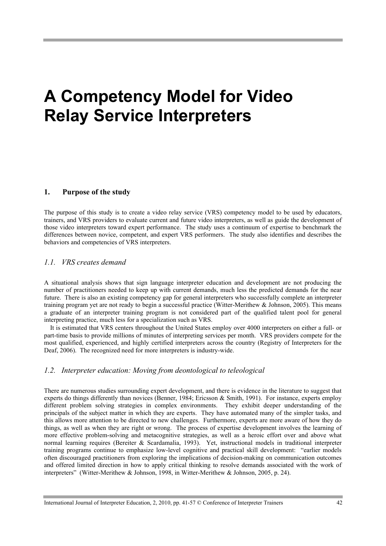# **A Competency Model for Video Relay Service Interpreters**

#### **1. Purpose of the study**

The purpose of this study is to create a video relay service (VRS) competency model to be used by educators, trainers, and VRS providers to evaluate current and future video interpreters, as well as guide the development of those video interpreters toward expert performance. The study uses a continuum of expertise to benchmark the differences between novice, competent, and expert VRS performers. The study also identifies and describes the behaviors and competencies of VRS interpreters.

#### *1.1. VRS creates demand*

A situational analysis shows that sign language interpreter education and development are not producing the number of practitioners needed to keep up with current demands, much less the predicted demands for the near future. There is also an existing competency gap for general interpreters who successfully complete an interpreter training program yet are not ready to begin a successful practice (Witter-Merithew & Johnson, 2005). This means a graduate of an interpreter training program is not considered part of the qualified talent pool for general interpreting practice, much less for a specialization such as VRS.

It is estimated that VRS centers throughout the United States employ over 4000 interpreters on either a full- or part-time basis to provide millions of minutes of interpreting services per month. VRS providers compete for the most qualified, experienced, and highly certified interpreters across the country (Registry of Interpreters for the Deaf, 2006). The recognized need for more interpreters is industry-wide.

## *1.2. Interpreter education: Moving from deontological to teleological*

There are numerous studies surrounding expert development, and there is evidence in the literature to suggest that experts do things differently than novices (Benner, 1984; Ericsson & Smith, 1991). For instance, experts employ different problem solving strategies in complex environments. They exhibit deeper understanding of the principals of the subject matter in which they are experts. They have automated many of the simpler tasks, and this allows more attention to be directed to new challenges. Furthermore, experts are more aware of how they do things, as well as when they are right or wrong. The process of expertise development involves the learning of more effective problem-solving and metacognitive strategies, as well as a heroic effort over and above what normal learning requires (Bereiter & Scardamalia, 1993). Yet, instructional models in traditional interpreter training programs continue to emphasize low-level cognitive and practical skill development: "earlier models often discouraged practitioners from exploring the implications of decision-making on communication outcomes and offered limited direction in how to apply critical thinking to resolve demands associated with the work of interpreters" (Witter-Merithew & Johnson, 1998, in Witter-Merithew & Johnson, 2005, p. 24).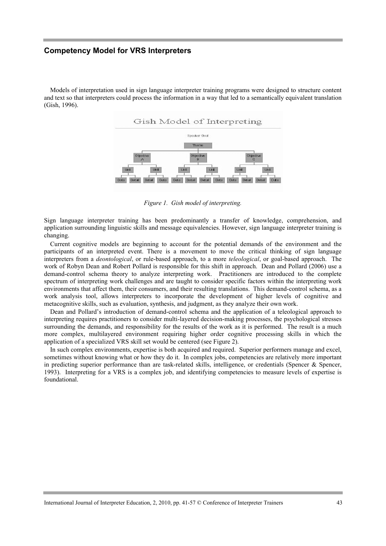Models of interpretation used in sign language interpreter training programs were designed to structure content and text so that interpreters could process the information in a way that led to a semantically equivalent translation (Gish, 1996).



*Figure 1. Gish model of interpreting.*

Sign language interpreter training has been predominantly a transfer of knowledge, comprehension, and application surrounding linguistic skills and message equivalencies. However, sign language interpreter training is changing.

Current cognitive models are beginning to account for the potential demands of the environment and the participants of an interpreted event. There is a movement to move the critical thinking of sign language interpreters from a *deontological*, or rule-based approach, to a more *teleological*, or goal-based approach. The work of Robyn Dean and Robert Pollard is responsible for this shift in approach. Dean and Pollard (2006) use a demand-control schema theory to analyze interpreting work. Practitioners are introduced to the complete spectrum of interpreting work challenges and are taught to consider specific factors within the interpreting work environments that affect them, their consumers, and their resulting translations. This demand-control schema, as a work analysis tool, allows interpreters to incorporate the development of higher levels of cognitive and metacognitive skills, such as evaluation, synthesis, and judgment, as they analyze their own work.

Dean and Pollard's introduction of demand-control schema and the application of a teleological approach to interpreting requires practitioners to consider multi-layered decision-making processes, the psychological stresses surrounding the demands, and responsibility for the results of the work as it is performed. The result is a much more complex, multilayered environment requiring higher order cognitive processing skills in which the application of a specialized VRS skill set would be centered (see Figure 2).

In such complex environments, expertise is both acquired and required. Superior performers manage and excel, sometimes without knowing what or how they do it. In complex jobs, competencies are relatively more important in predicting superior performance than are task-related skills, intelligence, or credentials (Spencer & Spencer, 1993). Interpreting for a VRS is a complex job, and identifying competencies to measure levels of expertise is foundational.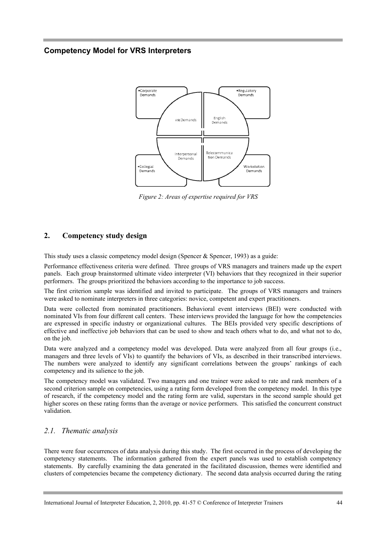

*Figure 2: Areas of expertise required for VRS*

## **2. Competency study design**

This study uses a classic competency model design (Spencer & Spencer, 1993) as a guide:

Performance effectiveness criteria were defined. Three groups of VRS managers and trainers made up the expert panels. Each group brainstormed ultimate video interpreter (VI) behaviors that they recognized in their superior performers. The groups prioritized the behaviors according to the importance to job success.

The first criterion sample was identified and invited to participate. The groups of VRS managers and trainers were asked to nominate interpreters in three categories: novice, competent and expert practitioners.

Data were collected from nominated practitioners. Behavioral event interviews (BEI) were conducted with nominated VIs from four different call centers. These interviews provided the language for how the competencies are expressed in specific industry or organizational cultures. The BEIs provided very specific descriptions of effective and ineffective job behaviors that can be used to show and teach others what to do, and what not to do, on the job.

Data were analyzed and a competency model was developed. Data were analyzed from all four groups (i.e., managers and three levels of VIs) to quantify the behaviors of VIs, as described in their transcribed interviews. The numbers were analyzed to identify any significant correlations between the groups' rankings of each competency and its salience to the job.

The competency model was validated. Two managers and one trainer were asked to rate and rank members of a second criterion sample on competencies, using a rating form developed from the competency model. In this type of research, if the competency model and the rating form are valid, superstars in the second sample should get higher scores on these rating forms than the average or novice performers. This satisfied the concurrent construct validation.

## *2.1. Thematic analysis*

There were four occurrences of data analysis during this study. The first occurred in the process of developing the competency statements. The information gathered from the expert panels was used to establish competency statements. By carefully examining the data generated in the facilitated discussion, themes were identified and clusters of competencies became the competency dictionary. The second data analysis occurred during the rating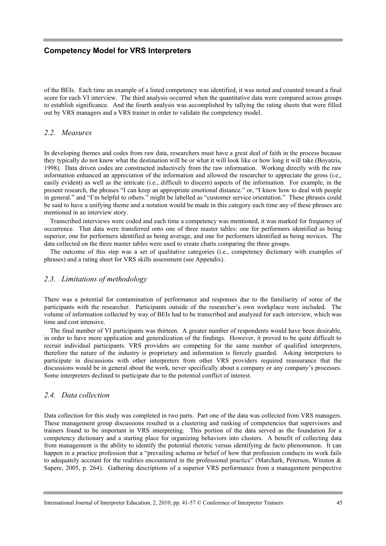of the BEIs. Each time an example of a listed competency was identified, it was noted and counted toward a final score for each VI interview. The third analysis occurred when the quantitative data were compared across groups to establish significance. And the fourth analysis was accomplished by tallying the rating sheets that were filled out by VRS managers and a VRS trainer in order to validate the competency model.

#### *2.2. Measures*

In developing themes and codes from raw data, researchers must have a great deal of faith in the process because they typically do not know what the destination will be or what it will look like or how long it will take (Boyatzis, 1998). Data driven codes are constructed inductively from the raw information. Working directly with the raw information enhanced an appreciation of the information and allowed the researcher to appreciate the gross (i.e., easily evident) as well as the intricate (i.e., difficult to discern) aspects of the information. For example, in the present research, the phrases "I can keep an appropriate emotional distance." or, "I know how to deal with people in general." and "I'm helpful to others." might be labelled as "customer service orientation." These phrases could be said to have a unifying theme and a notation would be made in this category each time any of these phrases are mentioned in an interview story.

Transcribed interviews were coded and each time a competency was mentioned, it was marked for frequency of occurrence. That data were transferred onto one of three master tables: one for performers identified as being superior, one for performers identified as being average, and one for performers identified as being novices. The data collected on the three master tables were used to create charts comparing the three groups.

The outcome of this step was a set of qualitative categories (i.e., competency dictionary with examples of phrases) and a rating sheet for VRS skills assessment (see Appendix).

#### *2.3. Limitations of methodology*

There was a potential for contamination of performance and responses due to the familiarity of some of the participants with the researcher. Participants outside of the researcher's own workplace were included. The volume of information collected by way of BEIs had to be transcribed and analyzed for each interview, which was time and cost intensive.

The final number of VI participants was thirteen. A greater number of respondents would have been desirable, in order to have more application and generalization of the findings. However, it proved to be quite difficult to recruit individual participants. VRS providers are competing for the same number of qualified interpreters, therefore the nature of the industry is proprietary and information is fiercely guarded. Asking interpreters to participate in discussions with other interpreters from other VRS providers required reassurance that the discussions would be in general about the work, never specifically about a company or any company's processes. Some interpreters declined to participate due to the potential conflict of interest.

#### *2.4. Data collection*

Data collection for this study was completed in two parts. Part one of the data was collected from VRS managers. These management group discussions resulted in a clustering and ranking of competencies that supervisors and trainers found to be important in VRS interpreting. This portion of the data served as the foundation for a competency dictionary and a starting place for organizing behaviors into clusters. A benefit of collecting data from management is the ability to identify the potential rhetoric versus identifying de facto phenomenon. It can happen in a practice profession that a "prevailing schema or belief of how that profession conducts its work fails to adequately account for the realities encountered in the professional practice" (Marchark, Peterson, Winston & Sapere, 2005, p. 264). Gathering descriptions of a superior VRS performance from a management perspective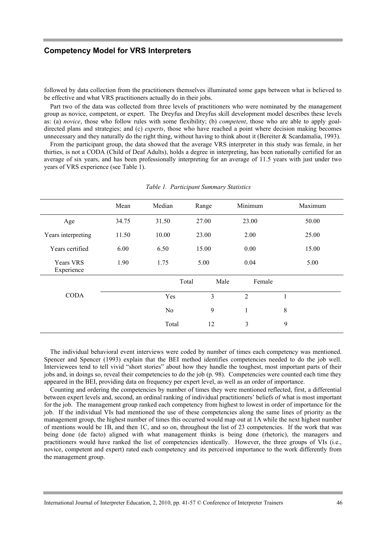followed by data collection from the practitioners themselves illuminated some gaps between what is believed to be effective and what VRS practitioners actually do in their jobs.

Part two of the data was collected from three levels of practitioners who were nominated by the management group as novice, competent, or expert. The Dreyfus and Dreyfus skill development model describes these levels as: (a) *novice*, those who follow rules with some flexibility; (b) *competent*, those who are able to apply goaldirected plans and strategies; and (c) *experts*, those who have reached a point where decision making becomes unnecessary and they naturally do the right thing, without having to think about it (Bereiter & Scardamalia, 1993).

From the participant group, the data showed that the average VRS interpreter in this study was female, in her thirties, is not a CODA (Child of Deaf Adults), holds a degree in interpreting, has been nationally certified for an average of six years, and has been professionally interpreting for an average of 11.5 years with just under two years of VRS experience (see Table 1).

|                                | Mean  | Median         | Range         | Minimum        | Maximum |
|--------------------------------|-------|----------------|---------------|----------------|---------|
| Age                            | 34.75 | 31.50          | 27.00         | 23.00          | 50.00   |
| Years interpreting             | 11.50 | 10.00          | 23.00         | 2.00           | 25.00   |
| Years certified                | 6.00  | 6.50           | 15.00         | 0.00           | 15.00   |
| <b>Years VRS</b><br>Experience | 1.90  | 1.75           | 5.00          | 0.04           | 5.00    |
|                                |       |                | Total<br>Male | Female         |         |
| <b>CODA</b>                    |       | Yes            | 3             | $\overline{2}$ |         |
|                                |       | N <sub>0</sub> | 9             | 1              | 8       |
|                                |       | Total          | 12            | 3              | 9       |

*Table 1. Participant Summary Statistics*

The individual behavioral event interviews were coded by number of times each competency was mentioned. Spencer and Spencer (1993) explain that the BEI method identifies competencies needed to do the job well. Interviewees tend to tell vivid "short stories" about how they handle the toughest, most important parts of their jobs and, in doings so, reveal their competencies to do the job (p. 98). Competencies were counted each time they appeared in the BEI, providing data on frequency per expert level, as well as an order of importance.

Counting and ordering the competencies by number of times they were mentioned reflected, first, a differential between expert levels and, second, an ordinal ranking of individual practitioners' beliefs of what is most important for the job. The management group ranked each competency from highest to lowest in order of importance for the job. If the individual VIs had mentioned the use of these competencies along the same lines of priority as the management group, the highest number of times this occurred would map out at 1A while the next highest number of mentions would be 1B, and then 1C, and so on, throughout the list of 23 competencies. If the work that was being done (de facto) aligned with what management thinks is being done (rhetoric), the managers and practitioners would have ranked the list of competencies identically. However, the three groups of VIs (i.e., novice, competent and expert) rated each competency and its perceived importance to the work differently from the management group.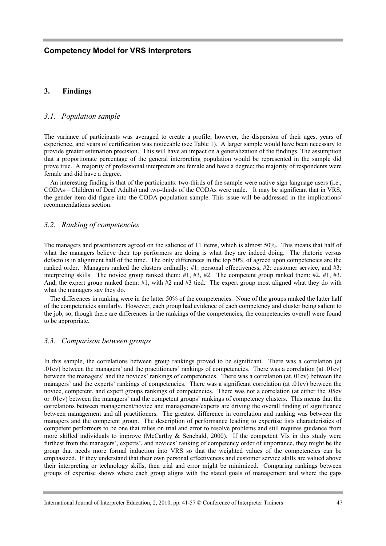## **3. Findings**

#### *3.1. Population sample*

The variance of participants was averaged to create a profile; however, the dispersion of their ages, years of experience, and years of certification was noticeable (see Table 1). A larger sample would have been necessary to provide greater estimation precision. This will have an impact on a generalization of the findings. The assumption that a proportionate percentage of the general interpreting population would be represented in the sample did prove true. A majority of professional interpreters are female and have a degree; the majority of respondents were female and did have a degree.

An interesting finding is that of the participants: two-thirds of the sample were native sign language users (i.e., CODAs―Children of Deaf Adults) and two-thirds of the CODAs were male. It may be significant that in VRS, the gender item did figure into the CODA population sample. This issue will be addressed in the implications/ recommendations section.

#### *3.2. Ranking of competencies*

The managers and practitioners agreed on the salience of 11 items, which is almost 50%. This means that half of what the managers believe their top performers are doing is what they are indeed doing. The rhetoric versus defacto is in alignment half of the time. The only differences in the top 50% of agreed upon competencies are the ranked order. Managers ranked the clusters ordinally: #1: personal effectiveness, #2: customer service, and #3: interpreting skills. The novice group ranked them: #1, #3, #2. The competent group ranked them: #2, #1, #3. And, the expert group ranked them: #1, with #2 and #3 tied. The expert group most aligned what they do with what the managers say they do.

The differences in ranking were in the latter 50% of the competencies. None of the groups ranked the latter half of the competencies similarly. However, each group had evidence of each competency and cluster being salient to the job, so, though there are differences in the rankings of the competencies, the competencies overall were found to be appropriate.

#### *3.3. Comparison between groups*

In this sample, the correlations between group rankings proved to be significant. There was a correlation (at .01cv) between the managers' and the practitioners' rankings of competencies. There was a correlation (at .01cv) between the managers' and the novices' rankings of competencies. There was a correlation (at. 01cv) between the managers' and the experts' rankings of competencies. There was a significant correlation (at .01cv) between the novice, competent, and expert groups rankings of competencies. There was not a correlation (at either the .05cv or .01cv) between the managers' and the competent groups' rankings of competency clusters. This means that the correlations between management/novice and management/experts are driving the overall finding of significance between management and all practitioners. The greatest difference in correlation and ranking was between the managers and the competent group. The description of performance leading to expertise lists characteristics of competent performers to be one that relies on trial and error to resolve problems and still requires guidance from more skilled individuals to improve (McCarthy & Senebald, 2000). If the competent VIs in this study were furthest from the managers', experts', and novices' ranking of competency order of importance, they might be the group that needs more formal induction into VRS so that the weighted values of the competencies can be emphasized. If they understand that their own personal effectiveness and customer service skills are valued above their interpreting or technology skills, then trial and error might be minimized. Comparing rankings between groups of expertise shows where each group aligns with the stated goals of management and where the gaps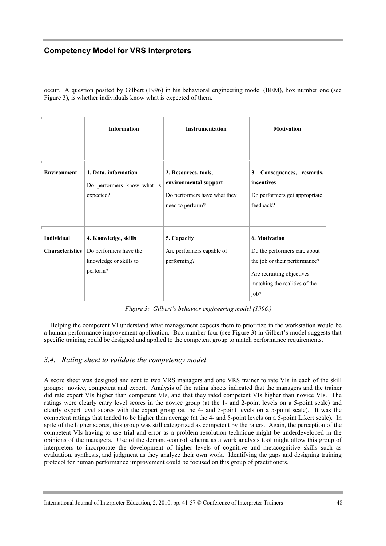occur. A question posited by Gilbert (1996) in his behavioral engineering model (BEM), box number one (see Figure 3), is whether individuals know what is expected of them.

|                                             | <b>Information</b>                                                                   | <b>Instrumentation</b>                                                                            | <b>Motivation</b>                                                                                                                                           |
|---------------------------------------------|--------------------------------------------------------------------------------------|---------------------------------------------------------------------------------------------------|-------------------------------------------------------------------------------------------------------------------------------------------------------------|
| <b>Environment</b>                          | 1. Data, information<br>Do performers know what is<br>expected?                      | 2. Resources, tools,<br>environmental support<br>Do performers have what they<br>need to perform? | 3. Consequences, rewards,<br>incentives<br>Do performers get appropriate<br>feedback?                                                                       |
| <b>Individual</b><br><b>Characteristics</b> | 4. Knowledge, skills<br>Do performers have the<br>knowledge or skills to<br>perform? | 5. Capacity<br>Are performers capable of<br>performing?                                           | <b>6. Motivation</b><br>Do the performers care about<br>the job or their performance?<br>Are recruiting objectives<br>matching the realities of the<br>job? |

*Figure 3: Gilbert's behavior engineering model (1996.)*

Helping the competent VI understand what management expects them to prioritize in the workstation would be a human performance improvement application. Box number four (see Figure 3) in Gilbert's model suggests that specific training could be designed and applied to the competent group to match performance requirements.

## *3.4. Rating sheet to validate the competency model*

A score sheet was designed and sent to two VRS managers and one VRS trainer to rate VIs in each of the skill groups: novice, competent and expert. Analysis of the rating sheets indicated that the managers and the trainer did rate expert VIs higher than competent VIs, and that they rated competent VIs higher than novice VIs. The ratings were clearly entry level scores in the novice group (at the 1- and 2-point levels on a 5-point scale) and clearly expert level scores with the expert group (at the 4- and 5-point levels on a 5-point scale). It was the competent ratings that tended to be higher than average (at the 4- and 5-point levels on a 5-point Likert scale). In spite of the higher scores, this group was still categorized as competent by the raters. Again, the perception of the competent VIs having to use trial and error as a problem resolution technique might be underdeveloped in the opinions of the managers. Use of the demand-control schema as a work analysis tool might allow this group of interpreters to incorporate the development of higher levels of cognitive and metacognitive skills such as evaluation, synthesis, and judgment as they analyze their own work. Identifying the gaps and designing training protocol for human performance improvement could be focused on this group of practitioners.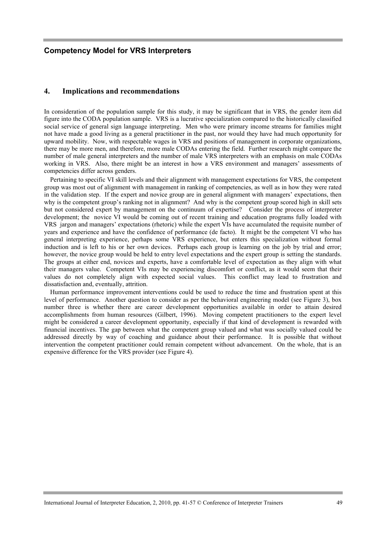## **4. Implications and recommendations**

In consideration of the population sample for this study, it may be significant that in VRS, the gender item did figure into the CODA population sample. VRS is a lucrative specialization compared to the historically classified social service of general sign language interpreting. Men who were primary income streams for families might not have made a good living as a general practitioner in the past, nor would they have had much opportunity for upward mobility. Now, with respectable wages in VRS and positions of management in corporate organizations, there may be more men, and therefore, more male CODAs entering the field. Further research might compare the number of male general interpreters and the number of male VRS interpreters with an emphasis on male CODAs working in VRS. Also, there might be an interest in how a VRS environment and managers' assessments of competencies differ across genders.

Pertaining to specific VI skill levels and their alignment with management expectations for VRS, the competent group was most out of alignment with management in ranking of competencies, as well as in how they were rated in the validation step. If the expert and novice group are in general alignment with managers' expectations, then why is the competent group's ranking not in alignment? And why is the competent group scored high in skill sets but not considered expert by management on the continuum of expertise? Consider the process of interpreter development; the novice VI would be coming out of recent training and education programs fully loaded with VRS jargon and managers' expectations (rhetoric) while the expert VIs have accumulated the requisite number of years and experience and have the confidence of performance (de facto). It might be the competent VI who has general interpreting experience, perhaps some VRS experience, but enters this specialization without formal induction and is left to his or her own devices. Perhaps each group is learning on the job by trial and error; however, the novice group would be held to entry level expectations and the expert group is setting the standards. The groups at either end, novices and experts, have a comfortable level of expectation as they align with what their managers value. Competent VIs may be experiencing discomfort or conflict, as it would seem that their values do not completely align with expected social values. This conflict may lead to frustration and dissatisfaction and, eventually, attrition.

Human performance improvement interventions could be used to reduce the time and frustration spent at this level of performance. Another question to consider as per the behavioral engineering model (see Figure 3), box number three is whether there are career development opportunities available in order to attain desired accomplishments from human resources (Gilbert, 1996). Moving competent practitioners to the expert level might be considered a career development opportunity, especially if that kind of development is rewarded with financial incentives. The gap between what the competent group valued and what was socially valued could be addressed directly by way of coaching and guidance about their performance. It is possible that without intervention the competent practitioner could remain competent without advancement. On the whole, that is an expensive difference for the VRS provider (see Figure 4).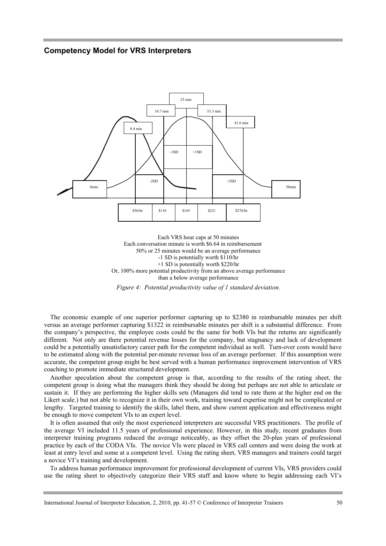

Each VRS hour caps at 50 minutes Each conversation minute is worth \$6.64 in reimbursement 50% or 25 minutes would be an average performance -1 SD is potentially worth \$110/hr +1 SD is potentially worth \$220/hr Or, 100% more potential productivity from an above average performance than a below average performance

*Figure 4: Potential productivity value of 1 standard deviation.*

The economic example of one superior performer capturing up to \$2380 in reimbursable minutes per shift versus an average performer capturing \$1322 in reimbursable minutes per shift is a substantial difference. From the company's perspective, the employee costs could be the same for both VIs but the returns are significantly different. Not only are there potential revenue losses for the company, but stagnancy and lack of development could be a potentially unsatisfactory career path for the competent individual as well. Turn-over costs would have to be estimated along with the potential per-minute revenue loss of an average performer. If this assumption were accurate, the competent group might be best served with a human performance improvement intervention of VRS coaching to promote immediate structured development.

Another speculation about the competent group is that, according to the results of the rating sheet, the competent group is doing what the managers think they should be doing but perhaps are not able to articulate or sustain it. If they are performing the higher skills sets (Managers did tend to rate them at the higher end on the Likert scale.) but not able to recognize it in their own work, training toward expertise might not be complicated or lengthy. Targeted training to identify the skills, label them, and show current application and effectiveness might be enough to move competent VIs to an expert level.

It is often assumed that only the most experienced interpreters are successful VRS practitioners. The profile of the average VI included 11.5 years of professional experience. However, in this study, recent graduates from interpreter training programs reduced the average noticeably, as they offset the 20-plus years of professional practice by each of the CODA VIs. The novice VIs were placed in VRS call centers and were doing the work at least at entry level and some at a competent level. Using the rating sheet, VRS managers and trainers could target a novice VI's training and development.

To address human performance improvement for professional development of current VIs, VRS providers could use the rating sheet to objectively categorize their VRS staff and know where to begin addressing each VI's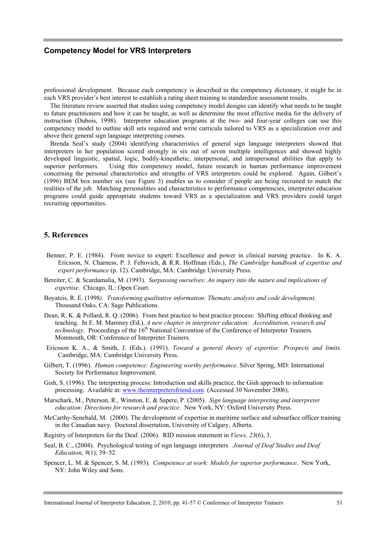professional development. Because each competency is described in the competency dictionary, it might be in each VRS provider's best interest to establish a rating sheet training to standardize assessment results.

The literature review asserted that studies using competency model designs can identify what needs to be taught to future practitioners and how it can be taught, as well as determine the most effective media for the delivery of instruction (Dubois, 1998). Interpreter education programs at the two- and four-year colleges can use this competency model to outline skill sets required and write curricula tailored to VRS as a specialization over and above their general sign language interpreting courses.

Brenda Seal's study (2004) identifying characteristics of general sign language interpreters showed that interpreters in her population scored strongly in six out of seven multiple intelligences and showed highly developed linguistic, spatial, logic, bodily-kinesthetic, interpersonal, and intrapersonal abilities that apply to superior performers. Using this competency model, future research in human performance improvement concerning the personal characteristics and strengths of VRS interpreters could be explored. Again, Gilbert's (1996) BEM box number six (see Figure 3) enables us to consider if people are being recruited to match the realities of the job. Matching personalities and characteristics to performance competencies, interpreter education programs could guide appropriate students toward VRS as a specialization and VRS providers could target recruiting opportunities.

#### **5. References**

- Benner, P. E. (1984). From novice to expert: Excellence and power in clinical nursing practice. In K. A. Ericsson, N. Charness, P. J. Feltovich, & R.R. Hoffman (Eds.), *The Cambridge handbook of expertise and expert performance* (p. 12). Cambridge, MA: Cambridge University Press.
- Bereiter, C. & Scardamalia, M. (1993). *Surpassing ourselves: An inquiry into the nature and implications of expertise*. Chicago, IL: Open Court.
- Boyatzis, R. E. (1998*). Transforming qualitative information: Thematic analysis and code development*. Thousand Oaks, CA: Sage Publications.
- Dean, R. K. & Pollard, R. Q. (2006). From best practice to best practice process: Shifting ethical thinking and teaching. In E. M. Maroney (Ed.), *A new chapter in interpreter education: Accreditation, research and technology*. Proceedings of the 16<sup>th</sup> National Convention of the Conference of Interpreter Trainers. Monmouth, OR: Conference of Interpreter Trainers.
- Ericsson K. A., & Smith, J. (Eds.). (1991). *Toward a general theory of expertise: Prospects and limits.* Cambridge, MA: Cambridge University Press.
- Gilbert, T. (1996). *Human competence: Engineering worthy performance*. Silver Spring, MD: International Society for Performance Improvement.
- Gish, S. (1996). The interpreting process: Introduction and skills practice, the Gish approach to information processing. Available at: www.theinterpretersfriend.com. (Accessed 30 November 2006).
- Marschark, M., Peterson, R., Winston, E. & Sapere, P. (2005). *Sign language interpreting and interpreter education: Directions for research and practice*. New York, NY: Oxford University Press.
- McCarthy-Senebald, M. (2000). The development of expertise in maritime surface and subsurface officer training in the Canadian navy. Doctoral dissertation, University of Calgary, Alberta.
- Registry of Interpreters for the Deaf. (2006). RID mission statement in *Views, 23*(6), 3.
- Seal, B. C., (2004). Psychological testing of sign language interpreters*. Journal of Deaf Studies and Deaf Education*, *9*(1), 39–52.
- Spencer, L. M. & Spencer, S. M. (1993). *Competence at work: Models for superior performance*. New York, NY: John Wiley and Sons.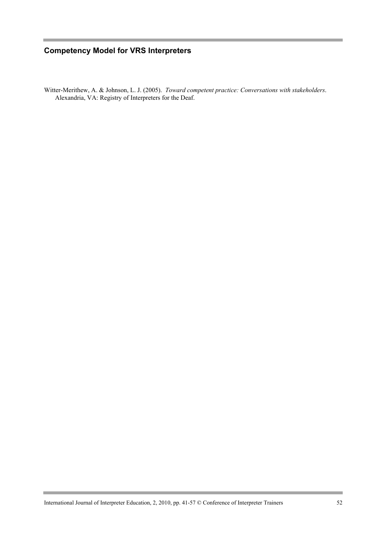Witter-Merithew, A. & Johnson, L. J. (2005). *Toward competent practice: Conversations with stakeholders*. Alexandria, VA: Registry of Interpreters for the Deaf.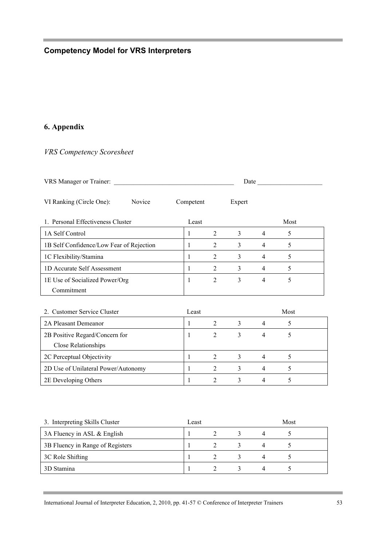# **6. Appendix**

*VRS Competency Scoresheet*

VRS Manager or Trainer: \_\_\_\_\_\_\_\_\_\_\_\_\_\_\_\_\_\_\_\_\_\_\_\_\_\_\_\_\_\_\_\_\_\_\_\_\_ Date \_\_\_\_\_\_\_\_\_\_\_\_\_\_\_\_\_\_\_\_

VI Ranking (Circle One): Novice Competent Expert

| 1. Personal Effectiveness Cluster        |  |   | Most |  |  |
|------------------------------------------|--|---|------|--|--|
| 1A Self Control                          |  |   | 4    |  |  |
| 1B Self Confidence/Low Fear of Rejection |  |   | 4    |  |  |
| 1C Flexibility/Stamina                   |  |   | 4    |  |  |
| 1D Accurate Self Assessment              |  | 3 | 4    |  |  |
| 1E Use of Socialized Power/Org           |  |   | 4    |  |  |
| Commitment                               |  |   |      |  |  |

| 2. Customer Service Cluster                           | Least |  |  | Most |  |  |  |
|-------------------------------------------------------|-------|--|--|------|--|--|--|
| 2A Pleasant Demeanor                                  |       |  |  |      |  |  |  |
| 2B Positive Regard/Concern for<br>Close Relationships |       |  |  |      |  |  |  |
| 2C Perceptual Objectivity                             |       |  |  |      |  |  |  |
| 2D Use of Unilateral Power/Autonomy                   |       |  |  |      |  |  |  |
| 2E Developing Others                                  |       |  |  |      |  |  |  |

| 3. Interpreting Skills Cluster   | Least |  |  | Most |  |  |
|----------------------------------|-------|--|--|------|--|--|
| 3A Fluency in ASL & English      |       |  |  |      |  |  |
| 3B Fluency in Range of Registers |       |  |  |      |  |  |
| 3C Role Shifting                 |       |  |  |      |  |  |
| 3D Stamina                       |       |  |  |      |  |  |

International Journal of Interpreter Education, 2, 2010, pp. 41-57 © Conference of Interpreter Trainers 53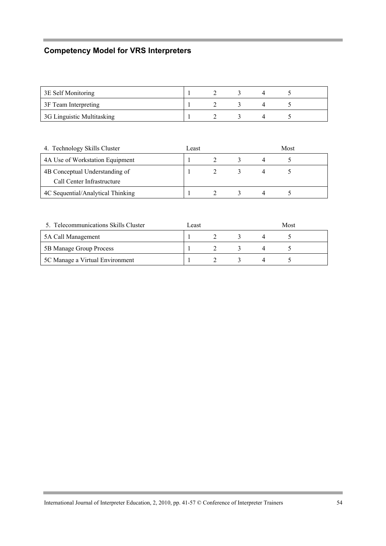| 3E Self Monitoring         |  |  |  |
|----------------------------|--|--|--|
| 3F Team Interpreting       |  |  |  |
| 3G Linguistic Multitasking |  |  |  |

| 4. Technology Skills Cluster      | Least |  |  | Most |  |  |
|-----------------------------------|-------|--|--|------|--|--|
| 4A Use of Workstation Equipment   |       |  |  |      |  |  |
| 4B Conceptual Understanding of    |       |  |  |      |  |  |
| Call Center Infrastructure        |       |  |  |      |  |  |
| 4C Sequential/Analytical Thinking |       |  |  |      |  |  |

| 5. Telecommunications Skills Cluster |  |  | Most |  |
|--------------------------------------|--|--|------|--|
| 5A Call Management                   |  |  |      |  |
| 5B Manage Group Process              |  |  |      |  |
| 5C Manage a Virtual Environment      |  |  |      |  |

f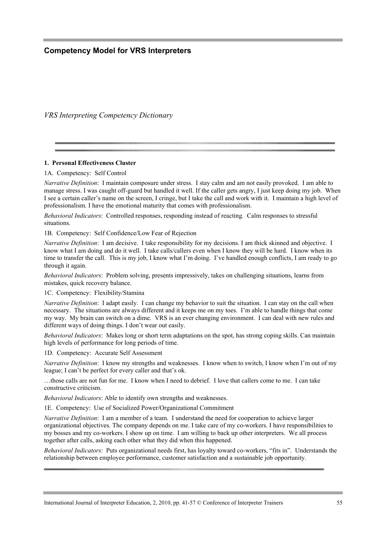*VRS Interpreting Competency Dictionary*

#### **1. Personal Effectiveness Cluster**

#### 1A. Competency: Self Control

*Narrative Definition*: I maintain composure under stress. I stay calm and am not easily provoked. I am able to manage stress. I was caught off-guard but handled it well. If the caller gets angry, I just keep doing my job. When I see a certain caller's name on the screen, I cringe, but I take the call and work with it. I maintain a high level of professionalism. I have the emotional maturity that comes with professionalism.

*Behavioral Indicators*: Controlled responses, responding instead of reacting. Calm responses to stressful situations.

1B. Competency: Self Confidence/Low Fear of Rejection

*Narrative Definition*: I am decisive. I take responsibility for my decisions. I am thick skinned and objective. I know what I am doing and do it well. I take calls/callers even when I know they will be hard. I know when its time to transfer the call. This is my job, I know what I'm doing. I've handled enough conflicts, I am ready to go through it again.

*Behavioral Indicators*: Problem solving, presents impressively, takes on challenging situations, learns from mistakes, quick recovery balance.

1C. Competency: Flexibility/Stamina

*Narrative Definition*: I adapt easily. I can change my behavior to suit the situation. I can stay on the call when necessary. The situations are always different and it keeps me on my toes. I'm able to handle things that come my way. My brain can switch on a dime. VRS is an ever changing environment. I can deal with new rules and different ways of doing things. I don't wear out easily.

*Behavioral Indicators*: Makes long or short term adaptations on the spot, has strong coping skills. Can maintain high levels of performance for long periods of time.

1D. Competency: Accurate Self Assessment

*Narrative Definition*: I know my strengths and weaknesses. I know when to switch, I know when I'm out of my league; I can't be perfect for every caller and that's ok.

…those calls are not fun for me. I know when I need to debrief. I love that callers come to me. I can take constructive criticism.

*Behavioral Indicators*: Able to identify own strengths and weaknesses.

1E. Competency: Use of Socialized Power/Organizational Commitment

*Narrative Definition*: I am a member of a team. I understand the need for cooperation to achieve larger organizational objectives. The company depends on me. I take care of my co-workers. I have responsibilities to my bosses and my co-workers. I show up on time. I am willing to back up other interpreters. We all process together after calls, asking each other what they did when this happened.

*Behavioral Indicators*: Puts organizational needs first, has loyalty toward co-workers, "fits in". Understands the relationship between employee performance, customer satisfaction and a sustainable job opportunity.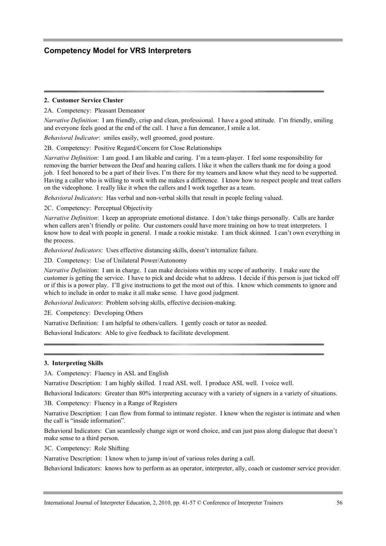#### **2. Customer Service Cluster**

2A. Competency: Pleasant Demeanor

*Narrative Definition*: I am friendly, crisp and clean, professional. I have a good attitude. I'm friendly, smiling and everyone feels good at the end of the call. I have a fun demeanor, I smile a lot.

*Behavioral Indicator*: smiles easily, well groomed, good posture.

2B. Competency: Positive Regard/Concern for Close Relationships

*Narrative Definition*: I am good. I am likable and caring. I'm a team-player. I feel some responsibility for removing the barrier between the Deaf and hearing callers. I like it when the callers thank me for doing a good job. I feel honored to be a part of their lives. I'm there for my teamers and know what they need to be supported. Having a caller who is willing to work with me makes a difference. I know how to respect people and treat callers on the videophone. I really like it when the callers and I work together as a team.

*Behavioral Indicators*: Has verbal and non-verbal skills that result in people feeling valued.

2C. Competency: Perceptual Objectivity

*Narrative Definition*: I keep an appropriate emotional distance. I don't take things personally. Calls are harder when callers aren't friendly or polite. Our customers could have more training on how to treat interpreters. I know how to deal with people in general. I made a rookie mistake. I am thick skinned. I can't own everything in the process.

*Behavioral Indicators*: Uses effective distancing skills, doesn't internalize failure.

2D. Competency: Use of Unilateral Power/Autonomy

*Narrative Definiti*on: I am in charge. I can make decisions within my scope of authority. I make sure the customer is getting the service. I have to pick and decide what to address. I decide if this person is just ticked off or if this is a power play. I'll give instructions to get the most out of this. I know which comments to ignore and which to include in order to make it all make sense. I have good judgment.

*Behavioral Indicators*: Problem solving skills, effective decision-making.

2E. Competency: Developing Others

Narrative Definition: I am helpful to others/callers. I gently coach or tutor as needed.

Behavioral Indicators: Able to give feedback to facilitate development.

#### **3. Interpreting Skills**

3A. Competency: Fluency in ASL and English

Narrative Description: I am highly skilled. I read ASL well. I produce ASL well. I voice well.

Behavioral Indicators: Greater than 80% interpreting accuracy with a variety of signers in a variety of situations.

3B. Competency: Fluency in a Range of Registers

Narrative Description: I can flow from formal to intimate register. I know when the register is intimate and when the call is "inside information".

Behavioral Indicators: Can seamlessly change sign or word choice, and can just pass along dialogue that doesn't make sense to a third person.

3C. Competency: Role Shifting

Narrative Description: I know when to jump in/out of various roles during a call.

Behavioral Indicators: knows how to perform as an operator, interpreter, ally, coach or customer service provider.